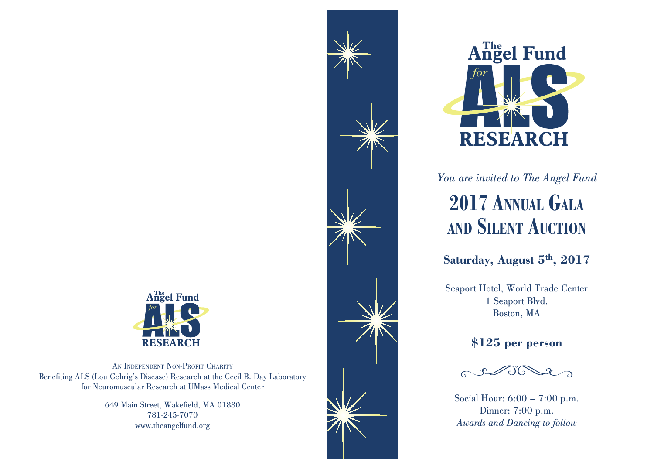

AN INDEPENDENT NON-PROFIT CHARITY Benefiting ALS (Lou Gehrig's Disease) Research at the Cecil B. Day Laboratory for Neuromuscular Research at UMass Medical Center

> 649 Main Street, Wakefield, MA 01880 781-245-7070 www.theangelfund.org





*You are invited to The Angel Fund* **2017 Annual Gala**

## **and Silent Auction**

**Saturday, August 5th, 2017**

Seaport Hotel, World Trade Center 1 Seaport Blvd. Boston, MA

#### **\$125 per person**



Social Hour: 6:00 – 7:00 p.m. Dinner: 7:00 p.m. *Awards and Dancing to follow*